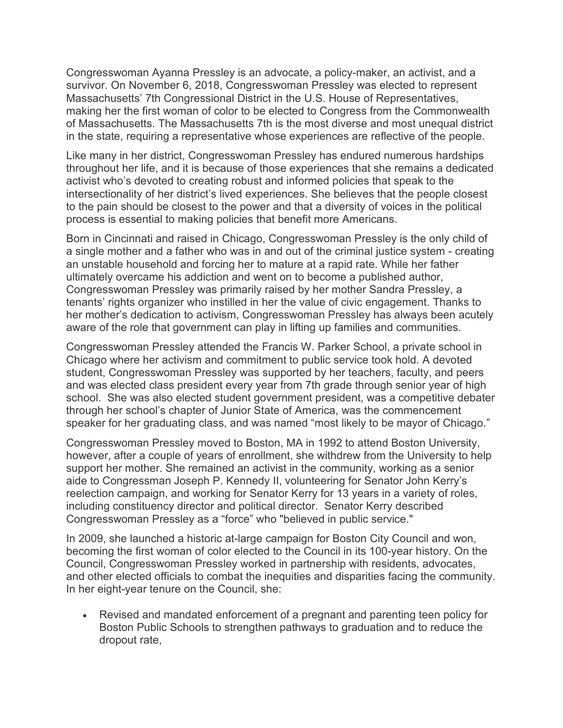Congresswoman Ayanna Pressley is an advocate, a policy-maker, an activist, and a survivor. On November 6, 2018, Congresswoman Pressley was elected to represent Massachusetts' 7th Congressional District in the U.S. House of Representatives, making her the first woman of color to be elected to Congress from the Commonwealth of Massachusetts. The Massachusetts 7th is the most diverse and most unequal district in the state, requiring a representative whose experiences are reflective of the people.

Like many in her district, Congresswoman Pressley has endured numerous hardships throughout her life, and it is because of those experiences that she remains a dedicated activist who's devoted to creating robust and informed policies that speak to the intersectionality of her district's lived experiences. She believes that the people closest to the pain should be closest to the power and that a diversity of voices in the political process is essential to making policies that benefit more Americans.

Born in Cincinnati and raised in Chicago, Congresswoman Pressley is the only child of a single mother and a father who was in and out of the criminal justice system - creating an unstable household and forcing her to mature at a rapid rate. While her father ultimately overcame his addiction and went on to become a published author, Congresswoman Pressley was primarily raised by her mother Sandra Pressley, a tenants' rights organizer who instilled in her the value of civic engagement. Thanks to her mother's dedication to activism, Congresswoman Pressley has always been acutely aware of the role that government can play in lifting up families and communities.

Congresswoman Pressley attended the Francis W. Parker School, a private school in Chicago where her activism and commitment to public service took hold. A devoted student, Congresswoman Pressley was supported by her teachers, faculty, and peers and was elected class president every year from 7th grade through senior year of high school. She was also elected student government president, was a competitive debater through her school's chapter of Junior State of America, was the commencement speaker for her graduating class, and was named "most likely to be mayor of Chicago."

Congresswoman Pressley moved to Boston, MA in 1992 to attend Boston University, however, after a couple of years of enrollment, she withdrew from the University to help support her mother. She remained an activist in the community, working as a senior aide to Congressman Joseph P. Kennedy II, volunteering for Senator John Kerry's reelection campaign, and working for Senator Kerry for 13 years in a variety of roles, including constituency director and political director. Senator Kerry described Congresswoman Pressley as a "force" who "believed in public service."

In 2009, she launched a historic at-large campaign for Boston City Council and won, becoming the first woman of color elected to the Council in its 100-year history. On the Council, Congresswoman Pressley worked in partnership with residents, advocates, and other elected officials to combat the inequities and disparities facing the community. In her eight-year tenure on the Council, she:

• Revised and mandated enforcement of a pregnant and parenting teen policy for Boston Public Schools to strengthen pathways to graduation and to reduce the dropout rate,